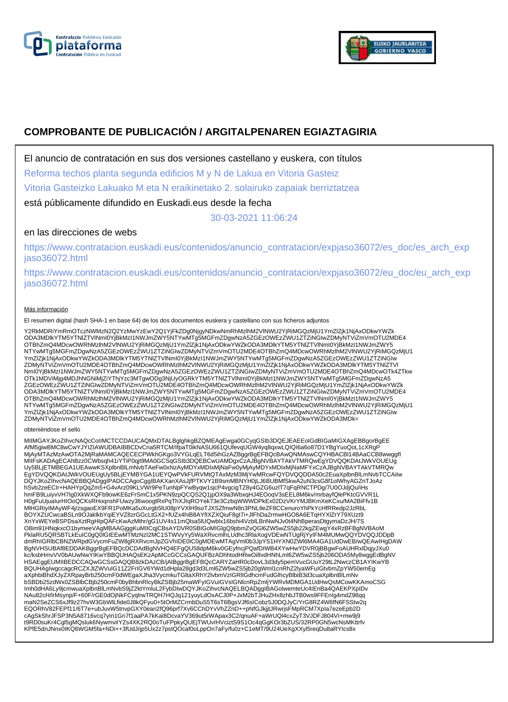



# **COMPROBANTE DE PUBLICACIÓN / ARGITALPENAREN EGIAZTAGIRIA**

El anuncio de contratación en sus dos versiones castellano y euskera, con títulos

Reforma techos planta segunda edificios M y N de Lakua en Vitoria Gasteiz

Vitoria Gasteizko Lakuako M eta N eraikinetako 2. solairuko zapaiak berriztatzea

está públicamente difundido en Euskadi.eus desde la fecha

30-03-2021 11:06:24

# en las direcciones de webs

https://www.contratacion.euskadi.eus/contenidos/anuncio\_contratacion/expjaso36072/es\_doc/es\_arch\_exp jaso36072.html

https://www.contratacion.euskadi.eus/contenidos/anuncio\_contratacion/expjaso36072/eu\_doc/eu\_arch\_exp jaso36072.html

### Más información

El resumen digital (hash SHA-1 en base 64) de los dos documentos euskera y castellano con sus ficheros adjuntos

Y2RkMDRiYmRmOTczNWMzN2Q2YzMwYzEwY2Q1YjFkZDg0NjgyNDkwNmRhMzlhM2VlNWU2YjRiMGQzMjU1YmZlZjk1NjAxODkwYWZk ODA3MDlkYTM5YTNlZTVlNmI0YjBkMzI1NWJmZWY5NTYwMTg5MGFmZDgwNzA5ZGEzOWEzZWU1ZTZiNGIwZDMyNTViZmVmOTU2MDE4 OTBhZmQ4MDcwOWRhMzlhM2VlNWU2YjRiMGQzMjU1YmZlZjk1NjAxODkwYWZkODA3MDlkYTM5YTNlZTVlNml0YjBkMzI1NWJmZWY5<br>NTYwMTg5MGFmZDgwNzA5ZGEzOWEzZWU1ZTZiNGIwZDMyNTViZmVmOTU2MDE4OTBhZmQ4MDcwOWRhMzlhM2VlNWU2YjRiMGQzMjU1 YmZlZjk1NjAxODkwYWZkODA3MDlkYTM5YTNIZTVlNmI0YjBkMzI1NWJmZWY5NTYwMTg5MGFmZDgwNzA5ZGEzOWEzZWU1ZTZiNGIw<br>ZDMyNTViZmVmOTU2MDE4OTBhZmQ4MDcwOWRhMzlhM2VlNWU2YjRiMGQzMjU1YmZlZjk1NjAxODkwYWZkODA3MDlkYTM5YTNIZTVI NmI0YjBkMzI1NWJmZWY5NTYwMTg5MGFmZDgwNzA5ZGEzOWEzZWU1ZTZiNGIwZDMyNTViZmVmOTU2MDE4OTBhZmQ4MDcwOTk4ZTkw OTk1MDViMjg4MDJhNGNiMjZiYThjYzc3MTgwODg3NjUyOGRkYTM5YTNlZTVlNmI0YjBkMzI1NWJmZWY5NTYwMTg5MGFmZDgwNzA5 ZGEzOWEzZWU1ZTZiNGIwZDMyNTViZmVmOTU2MDE4OTBhZmQ4MDcwOWRhMzlhM2VINWU2YjRiMGQzMjU1YmZlZjk1NjAxODkwYWZk<br>ODA3MDlkYTM5YTNIZTVINmI0YjBkMzI1NWJmZWY5NTYwMTg5MGFmZDgwNzA5ZGEzOWEzZWU1ZTZiNGIwZDMyNTViZmVmOTU2MDE4 OTBhZmQ4MDcwOWRhMzlhM2VlNWU2YjRiMGQzMjU1YmZlZjk1NjAxODkwYWZkODA3MDlkYTM5YTNlZTVlNml0YjBkMzI1NWJmZWY5<br>NTYwMTg5MGFmZDgwNzA5ZGEzOWEzZWU1ZTZiNGIwZDMyNTViZmVmOTU2MDE4OTBhZmQ4MDcwOWRhMzlhM2VlNWU2YjRiMGQzMjU1 YmZlZjk1NjAxODkwYWZkODA3MDlkYTM5YTNIZTVINmI0YjBkMzI1NWJmZWY5NTYwMTg5MGFmZDgwNzA5ZGEzOWEzZWU1ZTZiNGIw<br>ZDMyNTViZmVmOTU2MDE4OTBhZmQ4MDcwOWRhMzlhM2VINWU2YjRiMGQzMjU1YmZlZjk1NjAxODkwYWZkODA3MDk=

#### obteniéndose el sello

MIIMGAYJKoZIhvcNAQcCoIIMCTCCDAUCAQMxDTALBglghkgBZQMEAgEwga0GCyqGSIb3DQEJEAEEoIGdBIGaMIGXAgEBBgorBgEE AfM5giwBMC8wCwYJYIZIAWUDBAIBBCDvCna5RTCM/IfpaT0ikNASU661QUfevqUGW4yq8qxwLQIQI6a6o87D1YBgYuoQoL1cXRgP MjAyMTAzMzAwOTA2MjRaMAMCAQECECPWkhGKgo3VYGLqELT6d5ihGzAZBggrBgEFBQcBAwQNMAswCQYHBACBl14BAaCCB8wwggfI MIIFsKADAgECAhBzz0CWbsqh41iYTiP0qjt9MA0GCSqGSIb3DQEBCwUAMDgxCzAJBgNVBAYTAkVTMRQwEgYDVQQKDAtJWkVOUEUg Uy5BLjETMBEGA1UEAwwKSXplbnBlLmNvbTAeFw0xNzAyMDYxMDIxMjNaFw0yMjAyMDYxMDIxMjNaMFYxCzAJBgNVBAYTAkVTMRQw EgYDVQQKDAtJWkVOUEUgUy5BLjEYMBYGA1UEYQwPVkFURVMtQTAxMzM3MjYwMRcwFQYDVQQDDA50c2EuaXplbnBlLmNvbTCCAiIw<br>DQYJKoZIhvcNAQEBBQADggIPADCCAgoCggIBAKXanXAsJjfPTKVY1B9smMBNYH0jLJ6BUBMfSkwA2uN3csG8f1olWhyAGZnTJoAz hSvb2zeECIr+HAHYpQqZm5+G4vArz09KLVWr9PeTunNpFYwByqw1sjcP4vgcigTZ8y4GZG6uzlT7qFqRNCTPDg/7U0OJdjQu/iHs<br>hmFB9LuiyvVH7tg0XkWXQFb9owKE6zFrSmC1x5PKN9zpQCQS2Q1jpOX9a3WbxqHJ4EOoqV3sEEL8M6kv/mrbayfQlePKtcGVVR1L<br>H0gFuUjuaIurHIOoQCKs MlHGRiyIMAyWF4j/zsgaoEX9FR1PoMKa5uXurgb5lU08pYVXlH9soTJXSZfmwN8n3PNLtleZF8CCenuroYhPkYcHfRRedp2JzRbL BOYXZUCwcaBSLn9OJaklkbYqiEYVZ8zrGGcLtGX2+fUZx4hiB8AYfIXZXQiuF8gI7i+JlFhDa2rmwHGO8A6ETqHYXlZrY79XUzt9 XnYxWEYeBSPDsaXztRgHIpQAFcKwAzMthr/gG1UV4s11mQlsa5lUQwblx16bshi4VzblLBnNwNJv0t4NhBperasDtgymaDzJH/7S O8im91HNqkxcO1bymeeVAgMBAAGjggKuMIICqjCBsAYDVR0SBIGoMIGIgQ9pbmZvQGI6ZW5wZS5jb22kgZEwgY4xRzBFBgNVBAoM<br>PklaRU5QRSBTLkEuIC0gQ0IGIEEwMTMzNzI2MC1STWVyYy5WaXRvcmlhLUdhc3RlaXogVDEwNTUgRjYyIFM4MUMwQQYDVQQJDDpB dmRhIGRIbCBNZWRpdGVycmFuZW8gRXRvcmJpZGVhIDE0IC0gMDEwMTAgVml0b3JpYS1HYXN0ZWl6MA4GA1UdDwEB/wQEAwIHgDAW<br>BgNVHSUBAf8EDDAKBggrBgEFBQcDCDAdBgNVHQ4EFgQU58dpM6kv0GEyfncjPQafDIWB4XYwHwYDVR0jBBgwFoAUHRxlDqjyJXu0 kc/ksbHmvVV0bAUwNwYIKwYBBQUHAQsEKzApMCcGCCsGAQUFBzADhhtodHRwOi8vdHNhLml6ZW5wZS5jb206ODA5My8wggEdBgNV HSAEggEUMIIBEDCCAQwGCSsGAQQB8zkDAzCB/jAlBggrBgEFBQcCARYZaHR0cDovL3d3dy5pemVucGUuY29tL2NwczCB1AYIKwYB BQUHAgIwgccagcRCZXJtZWVuIG11Z2FrIGV6YWd1dHpla28gd3d3Lml6ZW5wZS5jb20gWml1cnRhZ2lyaWFuIGtvbmZpYW50emEg aXphbiBhdXJyZXRpayBrb250cmF0dWEgaXJha3VycmkuTGltaXRhY2lvbmVzIGRlIGdhcmFudGlhcyBlbiB3d3cuaXplbnBlLmNv bSBDb25zdWx0ZSBlbCBjb250cmF0byBhbnRlcyBkZSBjb25maWFyIGVuIGVsIGNlcnRpZmljYWRvMDMGA1UdHwQsMCowKKAmoCSG Imh0dHA6Ly9jcmwuaXplbnBlLmNvbS9jZ2ktYmluL2FybDIwDQYJKoZIhvcNAQELBQADggIBAGolwemteUc4IEnBa4QAEKPXpIDv NAu82cH/lrMsynp/F+60F/rGE0dOjNkFCyqlrwTRQH7HQJq121yuyLdOxACJ0P+JxM2bTJHuZHx8zhbJTB0ws9FFEnIg4mdZ98qq<br>maN2SeZCS6xJf9z27hvW3GbWlLfide0J8kQFyu0+5tOrMZCrmbDuS5T6sT6BgsVJf6sICobz5J0DQJyC/YrG8RZ4W6fN6FSStw2q EQORhV82FEPf11/6T7e+ubJuvW5tnvpGXY0eari2fQ96prf7Xv6CChDYvVhZZnD++pNfGJkjjtJRwrjsFMpRCM7XpIa7ezeEpb2D cAgSkShrJFSP3N5A8716vcq7yIn1Gn7f1aaPA7kKaI8DcvaYV369ut5rWApax3C2/qnuAF+aWrUQl4cxZyT3VJDFJ804VI+mw9j9 t9RD0suKr4Cgl5gMQsluk6NywmviIYZs4XK2RQ0oTuFPpkyQUEjTWUvIHVciztS9S1Oc4qGgKOr3bZUS/32RP0GN5wcNsMKttrfv KPfE5dnJNnx0IKQ6WGM5fa+NDi++3fUdJrjp5Ux2z7pstQOcaf0oLppOn7aFy/fu0z+C1eMT/9U24UeXgXXyl5reqDu8aRYIcs8x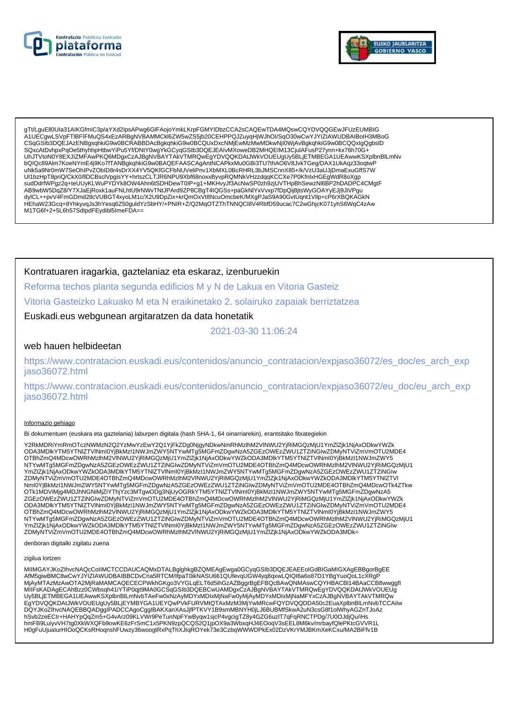



gTt/LguEll0Ula31AlKGfmiC3p/aYXd2lpsAPwg6GlFAojoYmkLKrpFGMYIDbzCCA2sCAQEwTDA4MQswCQYDVQQGEwJFUzEUMBIG CSqGSIb3DQEJAzENBgsqhkiG9w0BCRABBDAcBgkqhkiG9w0BCQUxDxcNMjEwMzMwMDkwNjl0WjAvBgkqhkiG9w0BCQQxlgQgbslD SQxcAtDvhpxPqOe5thynhpHtbwYiPu5Yf/DNtY0wgYkGCyqGSIb3DQEJEAIvMXoweDB2MHQEIM13CjuIAFusP27ynn+kx76h70G-UhJTVtoN0Y8EXJIZMFAwPKQ6MDgxCzAJBgNVBAYTAkVTMRQwEgYDVQQKDAtJWkVOUEUgUy5BLjETMBEGA1UEAwwKSXplbnBlLmNv bQIQc89Alm7KoeNYmE4j9Ko7fTANBgkqhkiG9w0BAQEFAASCAgAntNCAPkxMu0GBi3TU7thAO6V8JvkTGeg/DAX1UkAqz33oqtwF uNk5a9Nr0mW7SeOhIPvZObID8r4sDrXX4YV5QKfGCFbNUVeliPnv1XbMXL0BcRHRL3bJMSCnnX85+/k/VzU3aUJjDmaExuGffS7W<br>Ul1bzHpT8priQ/CkX0/lIDCBsclVpgisYY+hrtszCLTJR6NPU9Xbf68noxxByvpRQMNkVHzzdqqKCCXe7P0KfnlxHGEgWdR8oXgp on.org/www.php?html/https://www.php?https://www.php?https://www.php?https://www.php?https://www.php?https://www.php?https://www.php?https://www.php?https://www.php?https://www.php?https://www.php?https://www.php?https://w dylCL++pvV4FmGDmd2tlcVUBGT4xyoLM1c/X2U9DpZix+krQmOxVt8NcuOmcbeK/MXgPJaS9A90GvtUqnt1Vllp+cP6rXBQKAGkN HEhaW23Gcq+8YhkyvqJs3hYesq6Z50guldYzSbHY/+PNIR+Z/Q2MqOTZThTNNQCl8V4RbfD59ucac7C2wGhjcK071yhS6WqC4zAw M1TG6f+2+5L6h57SdlpdFEydibl5ImeFDA==

# Kontratuaren iragarkia, gaztelaniaz eta eskaraz, izenburuekin

Reforma techos planta segunda edificios M y N de Lakua en Vitoria Gasteiz

Vitoria Gasteizko Lakuako M eta N eraikinetako 2. solairuko zapaiak berriztatzea

Euskadi.eus webgunean argitaratzen da data honetatik

2021-03-30 11:06:24

## web hauen helbideetan

https://www.contratacion.euskadi.eus/contenidos/anuncio\_contratacion/expjaso36072/es\_doc/es\_arch\_exp jaso36072.html

https://www.contratacion.euskadi.eus/contenidos/anuncio contratacion/expjaso36072/eu doc/eu arch exp jaso36072.html

#### Informazio gehiago

Bi dokumentuen (euskara eta gaztelania) laburpen digitala (hash SHA-1, 64 oinarriarekin), erantsitako fitxategiekin

Y2RkMDRiYmRmOTczNWMzN2Q2YzMwYzEwY2Q1YjFkZDg0NjgyNDkwNmRhMzlhM2VINWU2YjRiMGQzMjU1YmZlZjk1NjAxODkwYWZk ODA3MDIkYTM5YTNIZTVINmI0YjBkMzI1NWJmZWY5NTYwMTg5MGFmZDgwNzA5ZGEzOWEzZWU1ZTZiNGIwZDMyNTViZmVmOTU2MDE4 OTBhZmQ4MDcwOWRhMzlhM2VINWU2YjRiMGQzMjU1YmZlZjK1NjAxODkwYWZkODA3MDlkYTM5YTNIZTVlNml0YjBkMzl1NWJmZWY5 NTYwMTg5MGFmZDgwNzA5ZGEzOWEzZWU1ZTZiŃGIwZDMyNTViZmVmOTU2MDE4OTBhZmQ4MDcwOWRhMzIńM2VINWU2YjRiMGQzMjU1 YmZIZjk1NjAxODkwYWZKODA3MDlkYTM5YTNIZTVINmI0YjBkMzI1NWJmZWY5NTYwMTg5MGFmZDgwNzA5ZGEzOWEzZWU1ZTZiNGlw<br>ZDMyNTViZmVmOTU2MDE4OTBhZmQ4MDcwOWRhMzlhM2VINWU2YjRiMGQzMjU1YmZIZjk1NjAxODkwYWZKODA3MDlkYTM5YTNIZTVI ZGEzOWEzZWU1ZTZiNGIwZDMyNTVIZmVmOTU2MDE4OTBhZmQ4MDcwOWRhMzIhM2VINWU2YjRiMGQzMjU1YmZIZjk1NjAxODkwYWZk ODA3MDlkYTM5YTNIZTVINmI0YjBkMzI1NWJmZWY5NTYwMTg5MGFmZDgwNzA5ZGEzOWEzZWU1ZTZiNGIwZDMyNTViZmVmOTU2MDE4 OTBhZmQ4MDcwOWRhMzlhM2VINWU2YjRiMGQzMjU1YmZlZjk1NjAxODkwYWZkODA3MDlkYTM5YTNIZTVINmI0YjBkMzI1NWJmZWY5 NTYwMTg5MGFmZDgwNzA5ZGEzOWEzZWU1ZTZiNGIwZDMyNTViZmVmOTU2MDE4OTBhZmQ4MDcwOWRhMzIhM2VINWU2YjRiMGQzMjU1 

denboran digitalki zigilatu zuena

#### zigilua lortzen

MIIMGAYJKoZIhvcNAQcCoIIMCTCCDAUCAQMxDTALBglghkgBZQMEAgEwga0GCyqGSIb3DQEJEAEEoIGdBIGaMIGXAgEBBgorBgEE AfM5giwBMC8wCwYJYIZIAWUDBAIBBCDvCna5RTCM/IfpaT0ikNASU661QUfevqUGW4yq8qxwLQIQI6a6o87D1YBgYuoQoL1cXRgP MjAyMTAzMzAwOTA2MjRaMAMCAQECECPWkhGKgo3VYGLqELT6d5ihGzAZBggrBgEFBQcBAwQNMAswCQYHBACBI14BAaCCB8wwggfl MIIFsKADAgECAhBzz0CWbsqh41iYTiP0qjt9MA0GCSqGSIb3DQEBCwUAMDgxCzAJBgNVBAYTAkVTMRQwEgYDVQQKDAtJWkVOUEUg Uy5BLjETMBEGA1UEAwwKSXplbnBlLmNvbTAeFw0xNzAyMDYxMDlxMjNaFw0yMjAyMDYxMDlxMjNaMFYxCzAJBgNVBAYTAkVTMRQw EgYDVQQKDAtJWkVOUEUgUy5BLJEYMBYGA1UEYQwPVkFURVMtQTAxMzM3MjYwMRcwFQYDVQQDDA50c2EuaXplbnBlLmNvbTCCAilw<br>DQYJKoZIhvcNAQEBBQADggIPADCCAgoCggIBAKXanXAsJjfPTKVY1B9smMBNYH0jLJ6BUBMfSkwA2uN3csG8f1olWhyAGZnTJoAz hSvb2zeECIr+HAHYpQqZm5+G4vArz09KLVWr9PeTunNpFYwByqw1sjcP4vgcigTZ8y4GZG6uzlT7qFqRNCTPDg/7U0OJdjQu/iHs<br>hmFB9LuiyvVH7tg0XkWXQFb9owKE6zFrSmC1x5PKN9zpQCQS2Q1jpOX9a3WbxqHJ4EOoqV3sEEL8M6kv/mrbayfQlePKtcGVVR1L H0gFuUjualurHIOoQCKsRHoqnshFUwzy36woogtRxPqThXJlqROYek73e3CzbqWWWDPkEx02DzVKrYMJBKmXeKCxu/MA2BiFfv1B